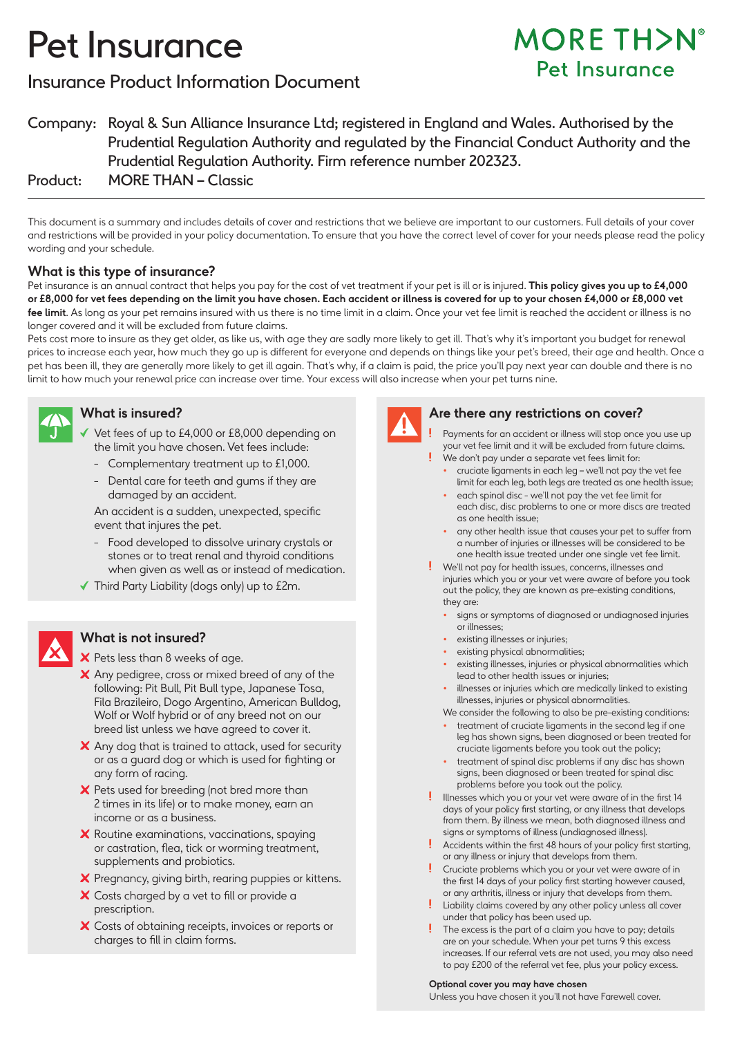# Pet Insurance

### Insurance Product Information Document

## **MORE TH>N°** Pet Insurance

Company: Royal & Sun Alliance Insurance Ltd; registered in England and Wales. Authorised by the Prudential Regulation Authority and regulated by the Financial Conduct Authority and the Prudential Regulation Authority. Firm reference number 202323.

Product: MORE THAN – Classic

This document is a summary and includes details of cover and restrictions that we believe are important to our customers. Full details of your cover and restrictions will be provided in your policy documentation. To ensure that you have the correct level of cover for your needs please read the policy wording and your schedule.

#### **What is this type of insurance?**

Pet insurance is an annual contract that helps you pay for the cost of vet treatment if your pet is ill or is injured. **This policy gives you up to £4,000 or £8,000 for vet fees depending on the limit you have chosen. Each accident or illness is covered for up to your chosen £4,000 or £8,000 vet**  fee limit. As long as your pet remains insured with us there is no time limit in a claim. Once your vet fee limit is reached the accident or illness is no longer covered and it will be excluded from future claims.

Pets cost more to insure as they get older, as like us, with age they are sadly more likely to get ill. That's why it's important you budget for renewal prices to increase each year, how much they go up is different for everyone and depends on things like your pet's breed, their age and health. Once a pet has been ill, they are generally more likely to get ill again. That's why, if a claim is paid, the price you'll pay next year can double and there is no limit to how much your renewal price can increase over time. Your excess will also increase when your pet turns nine.



#### **What is insured?**

 $\checkmark$  Vet fees of up to £4,000 or £8,000 depending on the limit you have chosen. Vet fees include:

- Complementary treatment up to £1,000.
- Dental care for teeth and gums if they are damaged by an accident.

An accident is a sudden, unexpected, specific event that injures the pet.

- Food developed to dissolve urinary crystals or stones or to treat renal and thyroid conditions when given as well as or instead of medication.
- Third Party Liability (dogs only) up to £2m.

#### **What is not insured?**

- X Pets less than 8 weeks of age.
- X Any pedigree, cross or mixed breed of any of the following: Pit Bull, Pit Bull type, Japanese Tosa, Fila Brazileiro, Dogo Argentino, American Bulldog, Wolf or Wolf hybrid or of any breed not on our breed list unless we have agreed to cover it.
- X Any dog that is trained to attack, used for security or as a guard dog or which is used for fighting or any form of racing.
- $\boldsymbol{\times}$  Pets used for breeding (not bred more than 2 times in its life) or to make money, earn an income or as a business.
- **X** Routine examinations, vaccinations, spaying or castration, flea, tick or worming treatment, supplements and probiotics.
- X Pregnancy, giving birth, rearing puppies or kittens.
- X Costs charged by a vet to fill or provide a prescription.
- X Costs of obtaining receipts, invoices or reports or charges to fill in claim forms.



#### **Are there any restrictions on cover?**

- Payments for an accident or illness will stop once you use up your vet fee limit and it will be excluded from future claims. We don't pay under a separate vet fees limit for:
	- cruciate ligaments in each leg we'll not pay the vet fee limit for each leg, both legs are treated as one health issue;
	- each spinal disc we'll not pay the vet fee limit for each disc, disc problems to one or more discs are treated as one health issue;
	- any other health issue that causes your pet to suffer from a number of injuries or illnesses will be considered to be one health issue treated under one single vet fee limit.
- We'll not pay for health issues, concerns, illnesses and injuries which you or your vet were aware of before you took out the policy, they are known as pre-existing conditions, they are:
	- signs or symptoms of diagnosed or undiagnosed injuries or illnesses;
	- existing illnesses or injuries;
	- existing physical abnormalities;
	- existing illnesses, injuries or physical abnormalities which lead to other health issues or injuries;
	- illnesses or injuries which are medically linked to existing illnesses, injuries or physical abnormalities.
	- We consider the following to also be pre-existing conditions:
	- treatment of cruciate ligaments in the second leg if one leg has shown signs, been diagnosed or been treated for cruciate ligaments before you took out the policy;
	- treatment of spinal disc problems if any disc has shown signs, been diagnosed or been treated for spinal disc problems before you took out the policy.
- Illnesses which you or your vet were aware of in the first 14 days of your policy first starting, or any illness that develops from them. By illness we mean, both diagnosed illness and signs or symptoms of illness (undiagnosed illness).
- Accidents within the first 48 hours of your policy first starting, or any illness or injury that develops from them.
- Cruciate problems which you or your vet were aware of in the first 14 days of your policy first starting however caused, or any arthritis, illness or injury that develops from them.
- Liability claims covered by any other policy unless all cover under that policy has been used up.
- The excess is the part of a claim you have to pay; details are on your schedule. When your pet turns 9 this excess increases. If our referral vets are not used, you may also need to pay £200 of the referral vet fee, plus your policy excess.

#### **Optional cover you may have chosen**

Unless you have chosen it you'll not have Farewell cover.